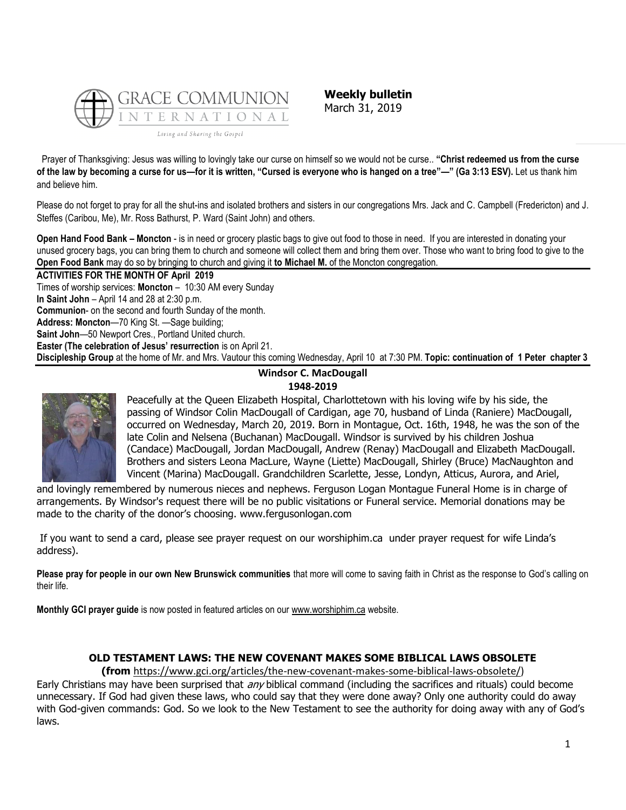

**Weekly bulletin** March 31, 2019

Prayer of Thanksgiving: Jesus was willing to lovingly take our curse on himself so we would not be curse.. **"Christ redeemed us from the curse of the law by becoming a curse for us—for it is written, "Cursed is everyone who is hanged on a tree"—" (Ga 3:13 ESV).** Let us thank him and believe him.

Please do not forget to pray for all the shut-ins and isolated brothers and sisters in our congregations Mrs. Jack and C. Campbell (Fredericton) and J. Steffes (Caribou, Me), Mr. Ross Bathurst, P. Ward (Saint John) and others.

**Open Hand Food Bank – Moncton** - is in need or grocery plastic bags to give out food to those in need. If you are interested in donating your unused grocery bags, you can bring them to church and someone will collect them and bring them over. Those who want to bring food to give to the **Open Food Bank** may do so by bringing to church and giving it **to Michael M.** of the Moncton congregation.

**ACTIVITIES FOR THE MONTH OF April 2019** Times of worship services: **Moncton** – 10:30 AM every Sunday **In Saint John** – April 14 and 28 at 2:30 p.m. **Communion**- on the second and fourth Sunday of the month. **Address: Moncton**—70 King St. —Sage building; **Saint John**—50 Newport Cres., Portland United church. **Easter (The celebration of Jesus' resurrection** is on April 21. **Discipleship Group** at the home of Mr. and Mrs. Vautour this coming Wednesday, April 10 at 7:30 PM. **Topic: continuation of 1 Peter chapter 3**

## **Windsor C. MacDougall 1948-2019**



Peacefully at the Queen Elizabeth Hospital, Charlottetown with his loving wife by his side, the passing of Windsor Colin MacDougall of Cardigan, age 70, husband of Linda (Raniere) MacDougall, occurred on Wednesday, March 20, 2019. Born in Montague, Oct. 16th, 1948, he was the son of the late Colin and Nelsena (Buchanan) MacDougall. Windsor is survived by his children Joshua (Candace) MacDougall, Jordan MacDougall, Andrew (Renay) MacDougall and Elizabeth MacDougall. Brothers and sisters Leona MacLure, Wayne (Liette) MacDougall, Shirley (Bruce) MacNaughton and Vincent (Marina) MacDougall. Grandchildren Scarlette, Jesse, Londyn, Atticus, Aurora, and Ariel,

and lovingly remembered by numerous nieces and nephews. Ferguson Logan Montague Funeral Home is in charge of arrangements. By Windsor's request there will be no public visitations or Funeral service. Memorial donations may be made to the charity of the donor's choosing. www.fergusonlogan.com

If you want to send a card, please see prayer request on our worshiphim.ca under prayer request for wife Linda's address).

**Please pray for people in our own New Brunswick communities** that more will come to saving faith in Christ as the response to God's calling on their life.

**Monthly GCI prayer guide** is now posted in featured articles on our [www.worshiphim.ca](http://www.worshiphim.ca/) website.

# **OLD TESTAMENT LAWS: THE NEW COVENANT MAKES SOME BIBLICAL LAWS OBSOLETE**

**(from** [https://www.gci.org/articles/the-new-covenant-makes-some-biblical-laws-obsolete/\)](https://www.gci.org/articles/the-new-covenant-makes-some-biblical-laws-obsolete/)

Early Christians may have been surprised that *any* biblical command (including the sacrifices and rituals) could become unnecessary. If God had given these laws, who could say that they were done away? Only one authority could do away with God-given commands: God. So we look to the New Testament to see the authority for doing away with any of God's laws.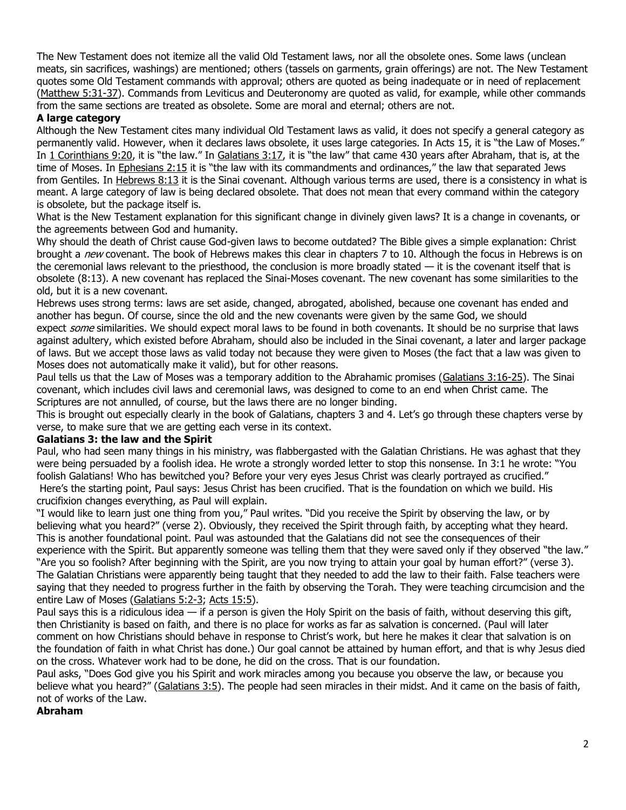The New Testament does not itemize all the valid Old Testament laws, nor all the obsolete ones. Some laws (unclean meats, sin sacrifices, washings) are mentioned; others (tassels on garments, grain offerings) are not. The New Testament quotes some Old Testament commands with approval; others are quoted as being inadequate or in need of replacement [\(Matthew 5:31-37\)](https://biblia.com/bible/niv/Matt%205.31-37). Commands from Leviticus and Deuteronomy are quoted as valid, for example, while other commands from the same sections are treated as obsolete. Some are moral and eternal; others are not.

#### **A large category**

Although the New Testament cites many individual Old Testament laws as valid, it does not specify a general category as permanently valid. However, when it declares laws obsolete, it uses large categories. In Acts 15, it is "the Law of Moses." In [1 Corinthians 9:20](https://biblia.com/bible/niv/1%20Cor%209.20), it is "the law." In [Galatians 3:17](https://biblia.com/bible/niv/Gal%203.17), it is "the law" that came 430 years after Abraham, that is, at the time of Moses. In [Ephesians 2:15](https://biblia.com/bible/niv/Eph%202.15) it is "the law with its commandments and ordinances," the law that separated Jews from Gentiles. In [Hebrews 8:13](https://biblia.com/bible/niv/Heb%208.13) it is the Sinai covenant. Although various terms are used, there is a consistency in what is meant. A large category of law is being declared obsolete. That does not mean that every command within the category is obsolete, but the package itself is.

What is the New Testament explanation for this significant change in divinely given laws? It is a change in covenants, or the agreements between God and humanity.

Why should the death of Christ cause God-given laws to become outdated? The Bible gives a simple explanation: Christ brought a new covenant. The book of Hebrews makes this clear in chapters 7 to 10. Although the focus in Hebrews is on the ceremonial laws relevant to the priesthood, the conclusion is more broadly stated  $-$  it is the covenant itself that is obsolete (8:13). A new covenant has replaced the Sinai-Moses covenant. The new covenant has some similarities to the old, but it is a new covenant.

Hebrews uses strong terms: laws are set aside, changed, abrogated, abolished, because one covenant has ended and another has begun. Of course, since the old and the new covenants were given by the same God, we should expect some similarities. We should expect moral laws to be found in both covenants. It should be no surprise that laws against adultery, which existed before Abraham, should also be included in the Sinai covenant, a later and larger package of laws. But we accept those laws as valid today not because they were given to Moses (the fact that a law was given to Moses does not automatically make it valid), but for other reasons.

Paul tells us that the Law of Moses was a temporary addition to the Abrahamic promises [\(Galatians 3:16-25\)](https://biblia.com/bible/niv/Gal%203.16-25). The Sinai covenant, which includes civil laws and ceremonial laws, was designed to come to an end when Christ came. The Scriptures are not annulled, of course, but the laws there are no longer binding.

This is brought out especially clearly in the book of Galatians, chapters 3 and 4. Let's go through these chapters verse by verse, to make sure that we are getting each verse in its context.

#### **Galatians 3: the law and the Spirit**

Paul, who had seen many things in his ministry, was flabbergasted with the Galatian Christians. He was aghast that they were being persuaded by a foolish idea. He wrote a strongly worded letter to stop this nonsense. In 3:1 he wrote: "You foolish Galatians! Who has bewitched you? Before your very eyes Jesus Christ was clearly portrayed as crucified." Here's the starting point, Paul says: Jesus Christ has been crucified. That is the foundation on which we build. His crucifixion changes everything, as Paul will explain.

"I would like to learn just one thing from you," Paul writes. "Did you receive the Spirit by observing the law, or by believing what you heard?" (verse 2). Obviously, they received the Spirit through faith, by accepting what they heard. This is another foundational point. Paul was astounded that the Galatians did not see the consequences of their experience with the Spirit. But apparently someone was telling them that they were saved only if they observed "the law." "Are you so foolish? After beginning with the Spirit, are you now trying to attain your goal by human effort?" (verse 3). The Galatian Christians were apparently being taught that they needed to add the law to their faith. False teachers were saying that they needed to progress further in the faith by observing the Torah. They were teaching circumcision and the entire Law of Moses [\(Galatians 5:2-3;](https://biblia.com/bible/niv/Gal%205.2-3) [Acts 15:5\)](https://biblia.com/bible/niv/Acts%2015.5).

Paul says this is a ridiculous idea  $-$  if a person is given the Holy Spirit on the basis of faith, without deserving this gift, then Christianity is based on faith, and there is no place for works as far as salvation is concerned. (Paul will later comment on how Christians should behave in response to Christ's work, but here he makes it clear that salvation is on the foundation of faith in what Christ has done.) Our goal cannot be attained by human effort, and that is why Jesus died on the cross. Whatever work had to be done, he did on the cross. That is our foundation.

Paul asks, "Does God give you his Spirit and work miracles among you because you observe the law, or because you believe what you heard?" ([Galatians 3:5\)](https://biblia.com/bible/niv/Gal%203.5). The people had seen miracles in their midst. And it came on the basis of faith, not of works of the Law.

#### **Abraham**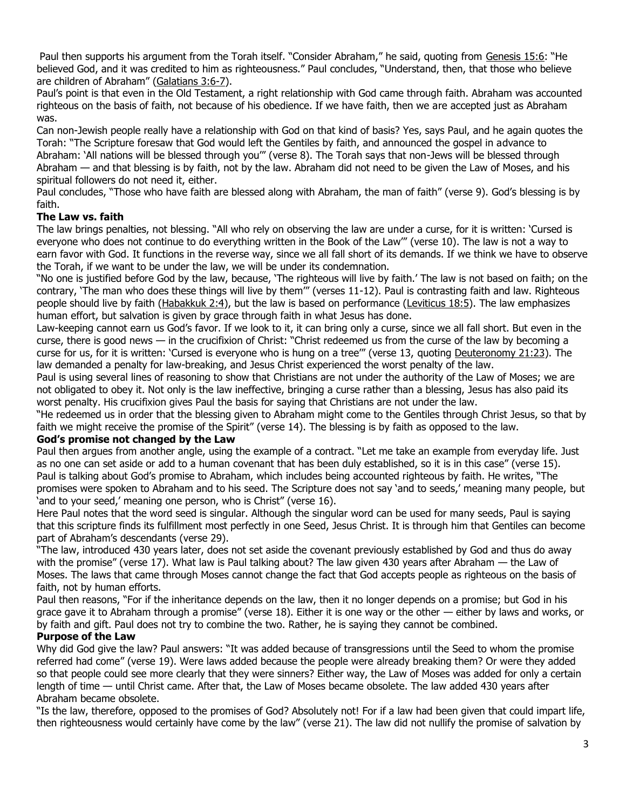Paul then supports his argument from the Torah itself. "Consider Abraham," he said, quoting from [Genesis 15:6](https://biblia.com/bible/niv/Gen%2015.6): "He believed God, and it was credited to him as righteousness." Paul concludes, "Understand, then, that those who believe are children of Abraham" ([Galatians 3:6-7\)](https://biblia.com/bible/niv/Gal%203.6-7).

Paul's point is that even in the Old Testament, a right relationship with God came through faith. Abraham was accounted righteous on the basis of faith, not because of his obedience. If we have faith, then we are accepted just as Abraham was.

Can non-Jewish people really have a relationship with God on that kind of basis? Yes, says Paul, and he again quotes the Torah: "The Scripture foresaw that God would left the Gentiles by faith, and announced the gospel in advance to Abraham: 'All nations will be blessed through you'" (verse 8). The Torah says that non-Jews will be blessed through Abraham — and that blessing is by faith, not by the law. Abraham did not need to be given the Law of Moses, and his spiritual followers do not need it, either.

Paul concludes, "Those who have faith are blessed along with Abraham, the man of faith" (verse 9). God's blessing is by faith.

# **The Law vs. faith**

The law brings penalties, not blessing. "All who rely on observing the law are under a curse, for it is written: 'Cursed is everyone who does not continue to do everything written in the Book of the Law'" (verse 10). The law is not a way to earn favor with God. It functions in the reverse way, since we all fall short of its demands. If we think we have to observe the Torah, if we want to be under the law, we will be under its condemnation.

"No one is justified before God by the law, because, 'The righteous will live by faith.' The law is not based on faith; on the contrary, 'The man who does these things will live by them'" (verses 11-12). Paul is contrasting faith and law. Righteous people should live by faith [\(Habakkuk 2:4\)](https://biblia.com/bible/niv/Hab%202.4), but the law is based on performance [\(Leviticus 18:5\)](https://biblia.com/bible/niv/Lev%2018.5). The law emphasizes human effort, but salvation is given by grace through faith in what Jesus has done.

Law-keeping cannot earn us God's favor. If we look to it, it can bring only a curse, since we all fall short. But even in the curse, there is good news — in the crucifixion of Christ: "Christ redeemed us from the curse of the law by becoming a curse for us, for it is written: 'Cursed is everyone who is hung on a tree'" (verse 13, quoting [Deuteronomy 21:23\)](https://biblia.com/bible/niv/Deut%2021.23). The law demanded a penalty for law-breaking, and Jesus Christ experienced the worst penalty of the law.

Paul is using several lines of reasoning to show that Christians are not under the authority of the Law of Moses; we are not obligated to obey it. Not only is the law ineffective, bringing a curse rather than a blessing, Jesus has also paid its worst penalty. His crucifixion gives Paul the basis for saying that Christians are not under the law.

"He redeemed us in order that the blessing given to Abraham might come to the Gentiles through Christ Jesus, so that by faith we might receive the promise of the Spirit" (verse 14). The blessing is by faith as opposed to the law.

### **God's promise not changed by the Law**

Paul then argues from another angle, using the example of a contract. "Let me take an example from everyday life. Just as no one can set aside or add to a human covenant that has been duly established, so it is in this case" (verse 15). Paul is talking about God's promise to Abraham, which includes being accounted righteous by faith. He writes, "The promises were spoken to Abraham and to his seed. The Scripture does not say 'and to seeds,' meaning many people, but 'and to your seed,' meaning one person, who is Christ" (verse 16).

Here Paul notes that the word seed is singular. Although the singular word can be used for many seeds, Paul is saying that this scripture finds its fulfillment most perfectly in one Seed, Jesus Christ. It is through him that Gentiles can become part of Abraham's descendants (verse 29).

"The law, introduced 430 years later, does not set aside the covenant previously established by God and thus do away with the promise" (verse 17). What law is Paul talking about? The law given 430 years after Abraham — the Law of Moses. The laws that came through Moses cannot change the fact that God accepts people as righteous on the basis of faith, not by human efforts.

Paul then reasons, "For if the inheritance depends on the law, then it no longer depends on a promise; but God in his grace gave it to Abraham through a promise" (verse 18). Either it is one way or the other — either by laws and works, or by faith and gift. Paul does not try to combine the two. Rather, he is saying they cannot be combined.

# **Purpose of the Law**

Why did God give the law? Paul answers: "It was added because of transgressions until the Seed to whom the promise referred had come" (verse 19). Were laws added because the people were already breaking them? Or were they added so that people could see more clearly that they were sinners? Either way, the Law of Moses was added for only a certain length of time — until Christ came. After that, the Law of Moses became obsolete. The law added 430 years after Abraham became obsolete.

"Is the law, therefore, opposed to the promises of God? Absolutely not! For if a law had been given that could impart life, then righteousness would certainly have come by the law" (verse 21). The law did not nullify the promise of salvation by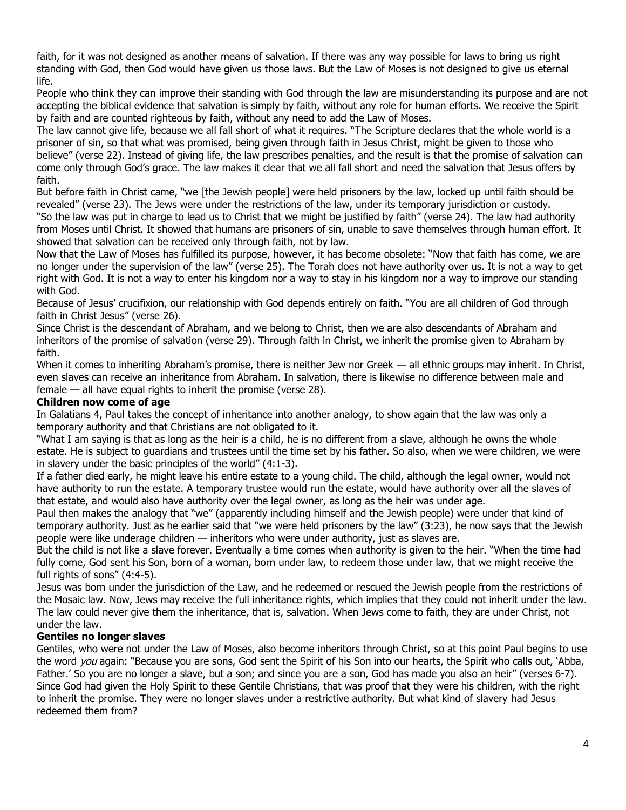faith, for it was not designed as another means of salvation. If there was any way possible for laws to bring us right standing with God, then God would have given us those laws. But the Law of Moses is not designed to give us eternal life.

People who think they can improve their standing with God through the law are misunderstanding its purpose and are not accepting the biblical evidence that salvation is simply by faith, without any role for human efforts. We receive the Spirit by faith and are counted righteous by faith, without any need to add the Law of Moses.

The law cannot give life, because we all fall short of what it requires. "The Scripture declares that the whole world is a prisoner of sin, so that what was promised, being given through faith in Jesus Christ, might be given to those who believe" (verse 22). Instead of giving life, the law prescribes penalties, and the result is that the promise of salvation can come only through God's grace. The law makes it clear that we all fall short and need the salvation that Jesus offers by faith.

But before faith in Christ came, "we [the Jewish people] were held prisoners by the law, locked up until faith should be revealed" (verse 23). The Jews were under the restrictions of the law, under its temporary jurisdiction or custody. "So the law was put in charge to lead us to Christ that we might be justified by faith" (verse 24). The law had authority from Moses until Christ. It showed that humans are prisoners of sin, unable to save themselves through human effort. It showed that salvation can be received only through faith, not by law.

Now that the Law of Moses has fulfilled its purpose, however, it has become obsolete: "Now that faith has come, we are no longer under the supervision of the law" (verse 25). The Torah does not have authority over us. It is not a way to get right with God. It is not a way to enter his kingdom nor a way to stay in his kingdom nor a way to improve our standing with God.

Because of Jesus' crucifixion, our relationship with God depends entirely on faith. "You are all children of God through faith in Christ Jesus" (verse 26).

Since Christ is the descendant of Abraham, and we belong to Christ, then we are also descendants of Abraham and inheritors of the promise of salvation (verse 29). Through faith in Christ, we inherit the promise given to Abraham by faith.

When it comes to inheriting Abraham's promise, there is neither Jew nor Greek — all ethnic groups may inherit. In Christ, even slaves can receive an inheritance from Abraham. In salvation, there is likewise no difference between male and female — all have equal rights to inherit the promise (verse 28).

### **Children now come of age**

In Galatians 4, Paul takes the concept of inheritance into another analogy, to show again that the law was only a temporary authority and that Christians are not obligated to it.

"What I am saying is that as long as the heir is a child, he is no different from a slave, although he owns the whole estate. He is subject to guardians and trustees until the time set by his father. So also, when we were children, we were in slavery under the basic principles of the world" (4:1-3).

If a father died early, he might leave his entire estate to a young child. The child, although the legal owner, would not have authority to run the estate. A temporary trustee would run the estate, would have authority over all the slaves of that estate, and would also have authority over the legal owner, as long as the heir was under age.

Paul then makes the analogy that "we" (apparently including himself and the Jewish people) were under that kind of temporary authority. Just as he earlier said that "we were held prisoners by the law" (3:23), he now says that the Jewish people were like underage children — inheritors who were under authority, just as slaves are.

But the child is not like a slave forever. Eventually a time comes when authority is given to the heir. "When the time had fully come, God sent his Son, born of a woman, born under law, to redeem those under law, that we might receive the full rights of sons" (4:4-5).

Jesus was born under the jurisdiction of the Law, and he redeemed or rescued the Jewish people from the restrictions of the Mosaic law. Now, Jews may receive the full inheritance rights, which implies that they could not inherit under the law. The law could never give them the inheritance, that is, salvation. When Jews come to faith, they are under Christ, not under the law.

### **Gentiles no longer slaves**

Gentiles, who were not under the Law of Moses, also become inheritors through Christ, so at this point Paul begins to use the word you again: "Because you are sons, God sent the Spirit of his Son into our hearts, the Spirit who calls out, 'Abba, Father.' So you are no longer a slave, but a son; and since you are a son, God has made you also an heir" (verses 6-7). Since God had given the Holy Spirit to these Gentile Christians, that was proof that they were his children, with the right to inherit the promise. They were no longer slaves under a restrictive authority. But what kind of slavery had Jesus redeemed them from?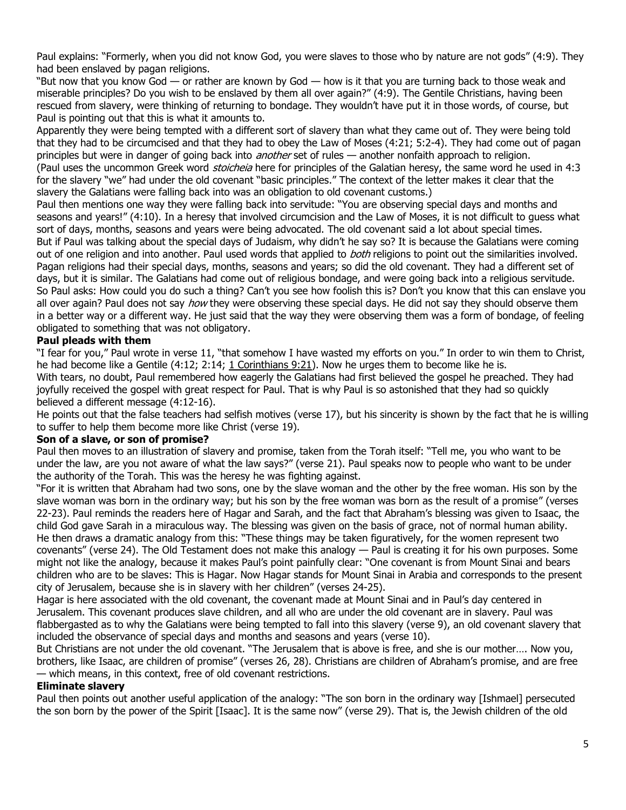Paul explains: "Formerly, when you did not know God, you were slaves to those who by nature are not gods" (4:9). They had been enslaved by pagan religions.

"But now that you know God — or rather are known by God — how is it that you are turning back to those weak and miserable principles? Do you wish to be enslaved by them all over again?" (4:9). The Gentile Christians, having been rescued from slavery, were thinking of returning to bondage. They wouldn't have put it in those words, of course, but Paul is pointing out that this is what it amounts to.

Apparently they were being tempted with a different sort of slavery than what they came out of. They were being told that they had to be circumcised and that they had to obey the Law of Moses (4:21; 5:2-4). They had come out of pagan principles but were in danger of going back into *another* set of rules — another nonfaith approach to religion. (Paul uses the uncommon Greek word *stoicheia* here for principles of the Galatian heresy, the same word he used in 4:3 for the slavery "we" had under the old covenant "basic principles." The context of the letter makes it clear that the slavery the Galatians were falling back into was an obligation to old covenant customs.)

Paul then mentions one way they were falling back into servitude: "You are observing special days and months and seasons and years!" (4:10). In a heresy that involved circumcision and the Law of Moses, it is not difficult to guess what sort of days, months, seasons and years were being advocated. The old covenant said a lot about special times. But if Paul was talking about the special days of Judaism, why didn't he say so? It is because the Galatians were coming out of one religion and into another. Paul used words that applied to both religions to point out the similarities involved. Pagan religions had their special days, months, seasons and years; so did the old covenant. They had a different set of days, but it is similar. The Galatians had come out of religious bondage, and were going back into a religious servitude. So Paul asks: How could you do such a thing? Can't you see how foolish this is? Don't you know that this can enslave you all over again? Paul does not say how they were observing these special days. He did not say they should observe them in a better way or a different way. He just said that the way they were observing them was a form of bondage, of feeling obligated to something that was not obligatory.

## **Paul pleads with them**

"I fear for you," Paul wrote in verse 11, "that somehow I have wasted my efforts on you." In order to win them to Christ, he had become like a Gentile (4:12; 2:14; [1 Corinthians 9:21\)](https://biblia.com/bible/niv/1%20Cor%209.21). Now he urges them to become like he is. With tears, no doubt, Paul remembered how eagerly the Galatians had first believed the gospel he preached. They had joyfully received the gospel with great respect for Paul. That is why Paul is so astonished that they had so quickly believed a different message (4:12-16).

He points out that the false teachers had selfish motives (verse 17), but his sincerity is shown by the fact that he is willing to suffer to help them become more like Christ (verse 19).

### **Son of a slave, or son of promise?**

Paul then moves to an illustration of slavery and promise, taken from the Torah itself: "Tell me, you who want to be under the law, are you not aware of what the law says?" (verse 21). Paul speaks now to people who want to be under the authority of the Torah. This was the heresy he was fighting against.

"For it is written that Abraham had two sons, one by the slave woman and the other by the free woman. His son by the slave woman was born in the ordinary way; but his son by the free woman was born as the result of a promise" (verses 22-23). Paul reminds the readers here of Hagar and Sarah, and the fact that Abraham's blessing was given to Isaac, the child God gave Sarah in a miraculous way. The blessing was given on the basis of grace, not of normal human ability. He then draws a dramatic analogy from this: "These things may be taken figuratively, for the women represent two covenants" (verse 24). The Old Testament does not make this analogy — Paul is creating it for his own purposes. Some might not like the analogy, because it makes Paul's point painfully clear: "One covenant is from Mount Sinai and bears children who are to be slaves: This is Hagar. Now Hagar stands for Mount Sinai in Arabia and corresponds to the present city of Jerusalem, because she is in slavery with her children" (verses 24-25).

Hagar is here associated with the old covenant, the covenant made at Mount Sinai and in Paul's day centered in Jerusalem. This covenant produces slave children, and all who are under the old covenant are in slavery. Paul was flabbergasted as to why the Galatians were being tempted to fall into this slavery (verse 9), an old covenant slavery that included the observance of special days and months and seasons and years (verse 10).

But Christians are not under the old covenant. "The Jerusalem that is above is free, and she is our mother…. Now you, brothers, like Isaac, are children of promise" (verses 26, 28). Christians are children of Abraham's promise, and are free — which means, in this context, free of old covenant restrictions.

### **Eliminate slavery**

Paul then points out another useful application of the analogy: "The son born in the ordinary way [Ishmael] persecuted the son born by the power of the Spirit [Isaac]. It is the same now" (verse 29). That is, the Jewish children of the old